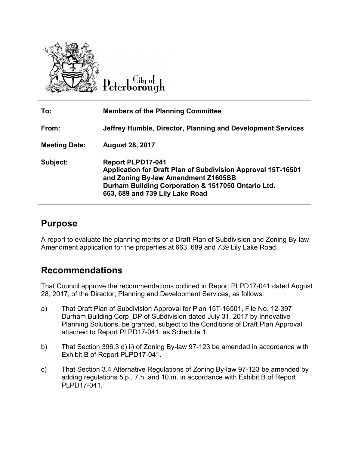

∟itų o†

| To:                  | <b>Members of the Planning Committee</b>                                                                                                                                                                                 |
|----------------------|--------------------------------------------------------------------------------------------------------------------------------------------------------------------------------------------------------------------------|
| From:                | Jeffrey Humble, Director, Planning and Development Services                                                                                                                                                              |
| <b>Meeting Date:</b> | <b>August 28, 2017</b>                                                                                                                                                                                                   |
| Subject:             | <b>Report PLPD17-041</b><br>Application for Draft Plan of Subdivision Approval 15T-16501<br>and Zoning By-law Amendment Z1605SB<br>Durham Building Corporation & 1517050 Ontario Ltd.<br>663, 689 and 739 Lily Lake Road |

## **Purpose**

A report to evaluate the planning merits of a Draft Plan of Subdivision and Zoning By-law Amendment application for the properties at 663, 689 and 739 Lily Lake Road.

## **Recommendations**

That Council approve the recommendations outlined in Report PLPD17-041 dated August 28, 2017, of the Director, Planning and Development Services, as follows:

- a) That Draft Plan of Subdivision Approval for Plan 15T-16501, File No. 12-397 Durham Building Corp\_DP of Subdivision dated July 31, 2017 by Innovative Planning Solutions, be granted, subject to the Conditions of Draft Plan Approval attached to Report PLPD17-041, as Schedule 1.
- b) That Section 396.3 d) ii) of Zoning By-law 97-123 be amended in accordance with Exhibit B of Report PLPD17-041.
- c) That Section 3.4 Alternative Regulations of Zoning By-law 97-123 be amended by adding regulations 5.p., 7.h. and 10.m. in accordance with Exhibit B of Report PLPD17-041.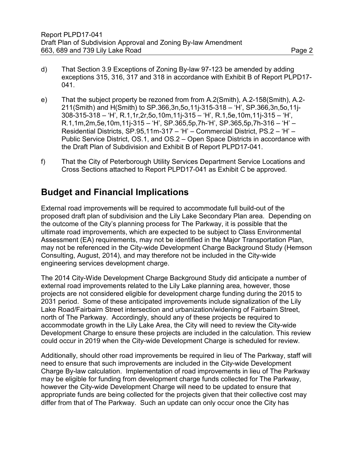- d) That Section 3.9 Exceptions of Zoning By-law 97-123 be amended by adding exceptions 315, 316, 317 and 318 in accordance with Exhibit B of Report PLPD17- 041.
- e) That the subject property be rezoned from from A.2(Smith), A.2-158(Smith), A.2- 211(Smith) and H(Smith) to SP.366,3n,5o,11j-315-318 – 'H', SP.366,3n,5o,11j-308-315-318 – 'H', R.1,1r,2r,5o,10m,11j-315 – 'H', R.1,5e,10m,11j-315 – 'H', R.1,1m,2m,5e,10m,11j-315 – 'H', SP.365,5p,7h-'H', SP.365,5p,7h-316 – 'H' – Residential Districts, SP.95,11m-317 – 'H' – Commercial District, PS.2 – 'H' – Public Service District, OS.1, and OS.2 – Open Space Districts in accordance with the Draft Plan of Subdivision and Exhibit B of Report PLPD17-041.
- f) That the City of Peterborough Utility Services Department Service Locations and Cross Sections attached to Report PLPD17-041 as Exhibit C be approved.

## **Budget and Financial Implications**

External road improvements will be required to accommodate full build-out of the proposed draft plan of subdivision and the Lily Lake Secondary Plan area. Depending on the outcome of the City's planning process for The Parkway, it is possible that the ultimate road improvements, which are expected to be subject to Class Environmental Assessment (EA) requirements, may not be identified in the Major Transportation Plan, may not be referenced in the City-wide Development Charge Background Study (Hemson Consulting, August, 2014), and may therefore not be included in the City-wide engineering services development charge.

The 2014 City-Wide Development Charge Background Study did anticipate a number of external road improvements related to the Lily Lake planning area, however, those projects are not considered eligible for development charge funding during the 2015 to 2031 period. Some of these anticipated improvements include signalization of the Lily Lake Road/Fairbairn Street intersection and urbanization/widening of Fairbairn Street, north of The Parkway. Accordingly, should any of these projects be required to accommodate growth in the Lily Lake Area, the City will need to review the City-wide Development Charge to ensure these projects are included in the calculation. This review could occur in 2019 when the City-wide Development Charge is scheduled for review.

Additionally, should other road improvements be required in lieu of The Parkway, staff will need to ensure that such improvements are included in the City-wide Development Charge By-law calculation. Implementation of road improvements in lieu of The Parkway may be eligible for funding from development charge funds collected for The Parkway, however the City-wide Development Charge will need to be updated to ensure that appropriate funds are being collected for the projects given that their collective cost may differ from that of The Parkway. Such an update can only occur once the City has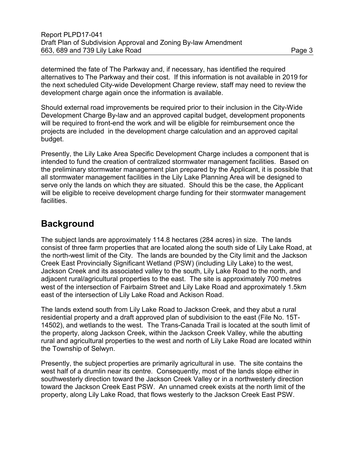determined the fate of The Parkway and, if necessary, has identified the required alternatives to The Parkway and their cost. If this information is not available in 2019 for the next scheduled City-wide Development Charge review, staff may need to review the development charge again once the information is available.

Should external road improvements be required prior to their inclusion in the City-Wide Development Charge By-law and an approved capital budget, development proponents will be required to front-end the work and will be eligible for reimbursement once the projects are included in the development charge calculation and an approved capital budget.

Presently, the Lily Lake Area Specific Development Charge includes a component that is intended to fund the creation of centralized stormwater management facilities. Based on the preliminary stormwater management plan prepared by the Applicant, it is possible that all stormwater management facilities in the Lily Lake Planning Area will be designed to serve only the lands on which they are situated. Should this be the case, the Applicant will be eligible to receive development charge funding for their stormwater management facilities.

# **Background**

The subject lands are approximately 114.8 hectares (284 acres) in size. The lands consist of three farm properties that are located along the south side of Lily Lake Road, at the north-west limit of the City. The lands are bounded by the City limit and the Jackson Creek East Provincially Significant Wetland (PSW) (including Lily Lake) to the west, Jackson Creek and its associated valley to the south, Lily Lake Road to the north, and adjacent rural/agricultural properties to the east. The site is approximately 700 metres west of the intersection of Fairbairn Street and Lily Lake Road and approximately 1.5km east of the intersection of Lily Lake Road and Ackison Road.

The lands extend south from Lily Lake Road to Jackson Creek, and they abut a rural residential property and a draft approved plan of subdivision to the east (File No. 15T-14502), and wetlands to the west. The Trans-Canada Trail is located at the south limit of the property, along Jackson Creek, within the Jackson Creek Valley, while the abutting rural and agricultural properties to the west and north of Lily Lake Road are located within the Township of Selwyn.

Presently, the subject properties are primarily agricultural in use. The site contains the west half of a drumlin near its centre. Consequently, most of the lands slope either in southwesterly direction toward the Jackson Creek Valley or in a northwesterly direction toward the Jackson Creek East PSW. An unnamed creek exists at the north limit of the property, along Lily Lake Road, that flows westerly to the Jackson Creek East PSW.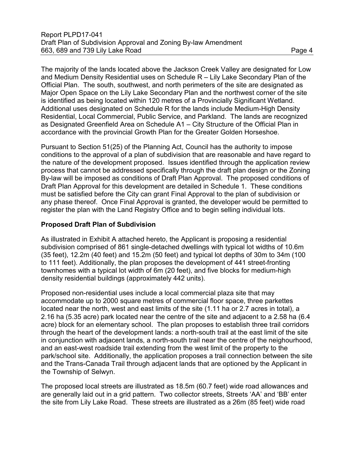The majority of the lands located above the Jackson Creek Valley are designated for Low and Medium Density Residential uses on Schedule R – Lily Lake Secondary Plan of the Official Plan. The south, southwest, and north perimeters of the site are designated as Major Open Space on the Lily Lake Secondary Plan and the northwest corner of the site is identified as being located within 120 metres of a Provincially Significant Wetland. Additional uses designated on Schedule R for the lands include Medium-High Density Residential, Local Commercial, Public Service, and Parkland. The lands are recognized as Designated Greenfield Area on Schedule A1 – City Structure of the Official Plan in accordance with the provincial Growth Plan for the Greater Golden Horseshoe.

Pursuant to Section 51(25) of the Planning Act, Council has the authority to impose conditions to the approval of a plan of subdivision that are reasonable and have regard to the nature of the development proposed. Issues identified through the application review process that cannot be addressed specifically through the draft plan design or the Zoning By-law will be imposed as conditions of Draft Plan Approval. The proposed conditions of Draft Plan Approval for this development are detailed in Schedule 1. These conditions must be satisfied before the City can grant Final Approval to the plan of subdivision or any phase thereof. Once Final Approval is granted, the developer would be permitted to register the plan with the Land Registry Office and to begin selling individual lots.

### **Proposed Draft Plan of Subdivision**

As illustrated in Exhibit A attached hereto, the Applicant is proposing a residential subdivision comprised of 861 single-detached dwellings with typical lot widths of 10.6m (35 feet), 12.2m (40 feet) and 15.2m (50 feet) and typical lot depths of 30m to 34m (100 to 111 feet). Additionally, the plan proposes the development of 441 street-fronting townhomes with a typical lot width of 6m (20 feet), and five blocks for medium-high density residential buildings (approximately 442 units).

Proposed non-residential uses include a local commercial plaza site that may accommodate up to 2000 square metres of commercial floor space, three parkettes located near the north, west and east limits of the site (1.11 ha or 2.7 acres in total), a 2.16 ha (5.35 acre) park located near the centre of the site and adjacent to a 2.58 ha (6.4 acre) block for an elementary school. The plan proposes to establish three trail corridors through the heart of the development lands: a north-south trail at the east limit of the site in conjunction with adjacent lands, a north-south trail near the centre of the neighourhood, and an east-west roadside trail extending from the west limit of the property to the park/school site. Additionally, the application proposes a trail connection between the site and the Trans-Canada Trail through adjacent lands that are optioned by the Applicant in the Township of Selwyn.

The proposed local streets are illustrated as 18.5m (60.7 feet) wide road allowances and are generally laid out in a grid pattern. Two collector streets, Streets 'AA' and 'BB' enter the site from Lily Lake Road. These streets are illustrated as a 26m (85 feet) wide road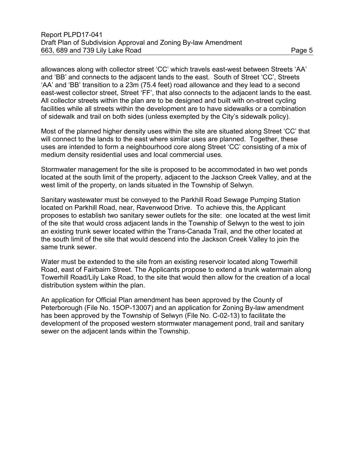allowances along with collector street 'CC' which travels east-west between Streets 'AA' and 'BB' and connects to the adjacent lands to the east. South of Street 'CC', Streets 'AA' and 'BB' transition to a 23m (75.4 feet) road allowance and they lead to a second east-west collector street, Street 'FF', that also connects to the adjacent lands to the east. All collector streets within the plan are to be designed and built with on-street cycling facilities while all streets within the development are to have sidewalks or a combination of sidewalk and trail on both sides (unless exempted by the City's sidewalk policy).

Most of the planned higher density uses within the site are situated along Street 'CC' that will connect to the lands to the east where similar uses are planned. Together, these uses are intended to form a neighbourhood core along Street 'CC' consisting of a mix of medium density residential uses and local commercial uses.

Stormwater management for the site is proposed to be accommodated in two wet ponds located at the south limit of the property, adjacent to the Jackson Creek Valley, and at the west limit of the property, on lands situated in the Township of Selwyn.

Sanitary wastewater must be conveyed to the Parkhill Road Sewage Pumping Station located on Parkhill Road, near, Ravenwood Drive. To achieve this, the Applicant proposes to establish two sanitary sewer outlets for the site: one located at the west limit of the site that would cross adjacent lands in the Township of Selwyn to the west to join an existing trunk sewer located within the Trans-Canada Trail, and the other located at the south limit of the site that would descend into the Jackson Creek Valley to join the same trunk sewer.

Water must be extended to the site from an existing reservoir located along Towerhill Road, east of Fairbairn Street. The Applicants propose to extend a trunk watermain along Towerhill Road/Lily Lake Road, to the site that would then allow for the creation of a local distribution system within the plan.

An application for Official Plan amendment has been approved by the County of Peterborough (File No. 15OP-13007) and an application for Zoning By-law amendment has been approved by the Township of Selwyn (File No. C-02-13) to facilitate the development of the proposed western stormwater management pond, trail and sanitary sewer on the adjacent lands within the Township.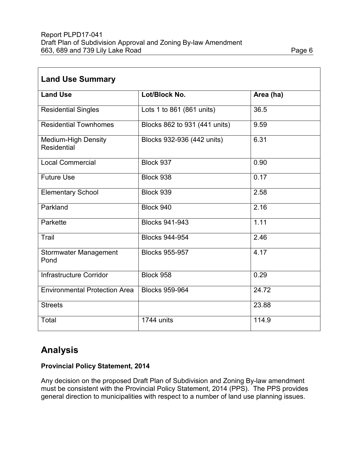| <b>Land Use Summary</b>                          |                               |           |  |  |  |
|--------------------------------------------------|-------------------------------|-----------|--|--|--|
| <b>Land Use</b>                                  | Lot/Block No.                 | Area (ha) |  |  |  |
| <b>Residential Singles</b>                       | Lots 1 to 861 (861 units)     | 36.5      |  |  |  |
| <b>Residential Townhomes</b>                     | Blocks 862 to 931 (441 units) | 9.59      |  |  |  |
| <b>Medium-High Density</b><br><b>Residential</b> | Blocks 932-936 (442 units)    | 6.31      |  |  |  |
| <b>Local Commercial</b>                          | Block 937                     | 0.90      |  |  |  |
| <b>Future Use</b>                                | Block 938                     | 0.17      |  |  |  |
| <b>Elementary School</b>                         | Block 939                     | 2.58      |  |  |  |
| Parkland                                         | Block 940                     | 2.16      |  |  |  |
| Parkette                                         | <b>Blocks 941-943</b>         | 1.11      |  |  |  |
| Trail                                            | <b>Blocks 944-954</b>         | 2.46      |  |  |  |
| <b>Stormwater Management</b><br>Pond             | <b>Blocks 955-957</b>         | 4.17      |  |  |  |
| Infrastructure Corridor                          | Block 958                     | 0.29      |  |  |  |
| <b>Environmental Protection Area</b>             | <b>Blocks 959-964</b>         | 24.72     |  |  |  |
| <b>Streets</b>                                   |                               | 23.88     |  |  |  |
| Total                                            | 1744 units                    | 114.9     |  |  |  |

# **Analysis**

### **Provincial Policy Statement, 2014**

Any decision on the proposed Draft Plan of Subdivision and Zoning By-law amendment must be consistent with the Provincial Policy Statement, 2014 (PPS). The PPS provides general direction to municipalities with respect to a number of land use planning issues.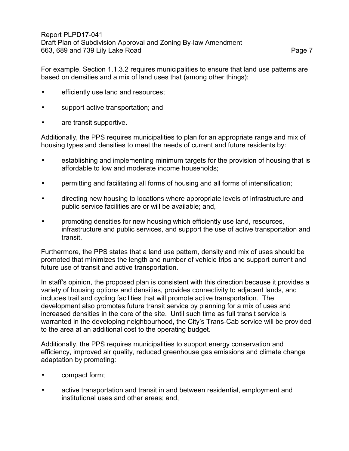For example, Section 1.1.3.2 requires municipalities to ensure that land use patterns are based on densities and a mix of land uses that (among other things):

- efficiently use land and resources;
- support active transportation; and
- are transit supportive.

Additionally, the PPS requires municipalities to plan for an appropriate range and mix of housing types and densities to meet the needs of current and future residents by:

- establishing and implementing minimum targets for the provision of housing that is affordable to low and moderate income households;
- permitting and facilitating all forms of housing and all forms of intensification;
- directing new housing to locations where appropriate levels of infrastructure and public service facilities are or will be available; and,
- promoting densities for new housing which efficiently use land, resources, infrastructure and public services, and support the use of active transportation and transit.

Furthermore, the PPS states that a land use pattern, density and mix of uses should be promoted that minimizes the length and number of vehicle trips and support current and future use of transit and active transportation.

In staff's opinion, the proposed plan is consistent with this direction because it provides a variety of housing options and densities, provides connectivity to adjacent lands, and includes trail and cycling facilities that will promote active transportation. The development also promotes future transit service by planning for a mix of uses and increased densities in the core of the site. Until such time as full transit service is warranted in the developing neighbourhood, the City's Trans-Cab service will be provided to the area at an additional cost to the operating budget.

Additionally, the PPS requires municipalities to support energy conservation and efficiency, improved air quality, reduced greenhouse gas emissions and climate change adaptation by promoting:

- compact form;
- active transportation and transit in and between residential, employment and institutional uses and other areas; and,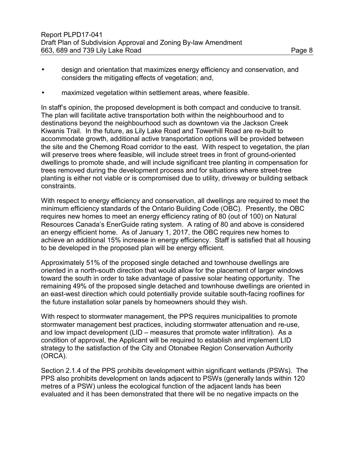• maximized vegetation within settlement areas, where feasible.

In staff's opinion, the proposed development is both compact and conducive to transit. The plan will facilitate active transportation both within the neighbourhood and to destinations beyond the neighbourhood such as downtown via the Jackson Creek Kiwanis Trail. In the future, as Lily Lake Road and Towerhill Road are re-built to accommodate growth, additional active transportation options will be provided between the site and the Chemong Road corridor to the east. With respect to vegetation, the plan will preserve trees where feasible, will include street trees in front of ground-oriented dwellings to promote shade, and will include significant tree planting in compensation for trees removed during the development process and for situations where street-tree planting is either not viable or is compromised due to utility, driveway or building setback constraints.

With respect to energy efficiency and conservation, all dwellings are required to meet the minimum efficiency standards of the Ontario Building Code (OBC). Presently, the OBC requires new homes to meet an energy efficiency rating of 80 (out of 100) on Natural Resources Canada's EnerGuide rating system. A rating of 80 and above is considered an energy efficient home. As of January 1, 2017, the OBC requires new homes to achieve an additional 15% increase in energy efficiency. Staff is satisfied that all housing to be developed in the proposed plan will be energy efficient.

Approximately 51% of the proposed single detached and townhouse dwellings are oriented in a north-south direction that would allow for the placement of larger windows toward the south in order to take advantage of passive solar heating opportunity. The remaining 49% of the proposed single detached and townhouse dwellings are oriented in an east-west direction which could potentially provide suitable south-facing rooflines for the future installation solar panels by homeowners should they wish.

With respect to stormwater management, the PPS requires municipalities to promote stormwater management best practices, including stormwater attenuation and re-use, and low impact development (LID – measures that promote water infiltration). As a condition of approval, the Applicant will be required to establish and implement LID strategy to the satisfaction of the City and Otonabee Region Conservation Authority (ORCA).

Section 2.1.4 of the PPS prohibits development within significant wetlands (PSWs). The PPS also prohibits development on lands adjacent to PSWs (generally lands within 120 metres of a PSW) unless the ecological function of the adjacent lands has been evaluated and it has been demonstrated that there will be no negative impacts on the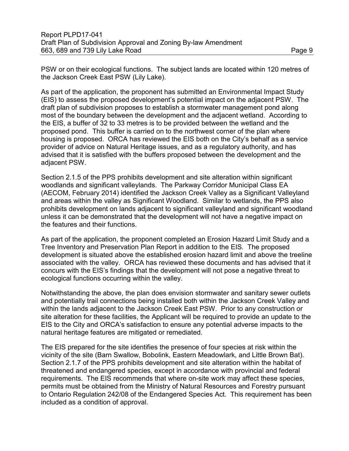PSW or on their ecological functions. The subject lands are located within 120 metres of the Jackson Creek East PSW (Lily Lake).

As part of the application, the proponent has submitted an Environmental Impact Study (EIS) to assess the proposed development's potential impact on the adjacent PSW. The draft plan of subdivision proposes to establish a stormwater management pond along most of the boundary between the development and the adjacent wetland. According to the EIS, a buffer of 32 to 33 metres is to be provided between the wetland and the proposed pond. This buffer is carried on to the northwest corner of the plan where housing is proposed. ORCA has reviewed the EIS both on the City's behalf as a service provider of advice on Natural Heritage issues, and as a regulatory authority, and has advised that it is satisfied with the buffers proposed between the development and the adjacent PSW.

Section 2.1.5 of the PPS prohibits development and site alteration within significant woodlands and significant valleylands. The Parkway Corridor Municipal Class EA (AECOM, February 2014) identified the Jackson Creek Valley as a Significant Valleyland and areas within the valley as Significant Woodland. Similar to wetlands, the PPS also prohibits development on lands adjacent to significant valleyland and significant woodland unless it can be demonstrated that the development will not have a negative impact on the features and their functions.

As part of the application, the proponent completed an Erosion Hazard Limit Study and a Tree Inventory and Preservation Plan Report in addition to the EIS. The proposed development is situated above the established erosion hazard limit and above the treeline associated with the valley. ORCA has reviewed these documents and has advised that it concurs with the EIS's findings that the development will not pose a negative threat to ecological functions occurring within the valley.

Notwithstanding the above, the plan does envision stormwater and sanitary sewer outlets and potentially trail connections being installed both within the Jackson Creek Valley and within the lands adjacent to the Jackson Creek East PSW. Prior to any construction or site alteration for these facilities, the Applicant will be required to provide an update to the EIS to the City and ORCA's satisfaction to ensure any potential adverse impacts to the natural heritage features are mitigated or remediated.

The EIS prepared for the site identifies the presence of four species at risk within the vicinity of the site (Barn Swallow, Bobolink, Eastern Meadowlark, and Little Brown Bat). Section 2.1.7 of the PPS prohibits development and site alteration within the habitat of threatened and endangered species, except in accordance with provincial and federal requirements. The EIS recommends that where on-site work may affect these species, permits must be obtained from the Ministry of Natural Resources and Forestry pursuant to Ontario Regulation 242/08 of the Endangered Species Act. This requirement has been included as a condition of approval.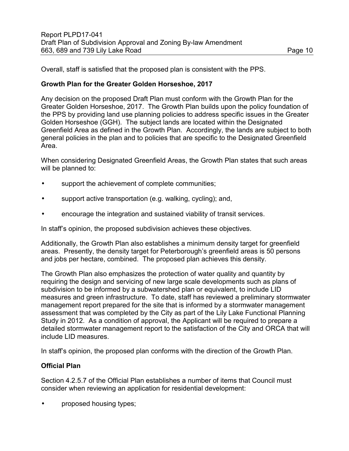Overall, staff is satisfied that the proposed plan is consistent with the PPS.

#### **Growth Plan for the Greater Golden Horseshoe, 2017**

Any decision on the proposed Draft Plan must conform with the Growth Plan for the Greater Golden Horseshoe, 2017. The Growth Plan builds upon the policy foundation of the PPS by providing land use planning policies to address specific issues in the Greater Golden Horseshoe (GGH). The subject lands are located within the Designated Greenfield Area as defined in the Growth Plan. Accordingly, the lands are subject to both general policies in the plan and to policies that are specific to the Designated Greenfield Area.

When considering Designated Greenfield Areas, the Growth Plan states that such areas will be planned to:

- support the achievement of complete communities;
- support active transportation (e.g. walking, cycling); and,
- encourage the integration and sustained viability of transit services.

In staff's opinion, the proposed subdivision achieves these objectives.

Additionally, the Growth Plan also establishes a minimum density target for greenfield areas. Presently, the density target for Peterborough's greenfield areas is 50 persons and jobs per hectare, combined. The proposed plan achieves this density.

The Growth Plan also emphasizes the protection of water quality and quantity by requiring the design and servicing of new large scale developments such as plans of subdivision to be informed by a subwatershed plan or equivalent, to include LID measures and green infrastructure. To date, staff has reviewed a preliminary stormwater management report prepared for the site that is informed by a stormwater management assessment that was completed by the City as part of the Lily Lake Functional Planning Study in 2012. As a condition of approval, the Applicant will be required to prepare a detailed stormwater management report to the satisfaction of the City and ORCA that will include LID measures.

In staff's opinion, the proposed plan conforms with the direction of the Growth Plan.

#### **Official Plan**

Section 4.2.5.7 of the Official Plan establishes a number of items that Council must consider when reviewing an application for residential development:

• proposed housing types;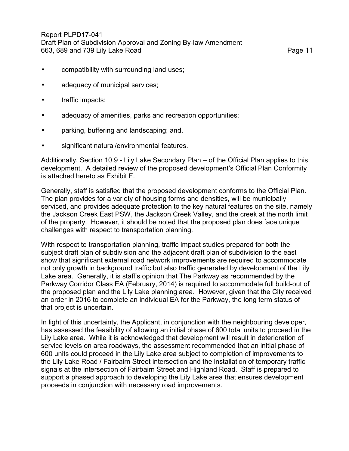- compatibility with surrounding land uses;
- adequacy of municipal services;
- traffic impacts;
- adequacy of amenities, parks and recreation opportunities;
- parking, buffering and landscaping; and,
- significant natural/environmental features.

Additionally, Section 10.9 - Lily Lake Secondary Plan – of the Official Plan applies to this development. A detailed review of the proposed development's Official Plan Conformity is attached hereto as Exhibit F.

Generally, staff is satisfied that the proposed development conforms to the Official Plan. The plan provides for a variety of housing forms and densities, will be municipally serviced, and provides adequate protection to the key natural features on the site, namely the Jackson Creek East PSW, the Jackson Creek Valley, and the creek at the north limit of the property. However, it should be noted that the proposed plan does face unique challenges with respect to transportation planning.

With respect to transportation planning, traffic impact studies prepared for both the subject draft plan of subdivision and the adjacent draft plan of subdivision to the east show that significant external road network improvements are required to accommodate not only growth in background traffic but also traffic generated by development of the Lily Lake area. Generally, it is staff's opinion that The Parkway as recommended by the Parkway Corridor Class EA (February, 2014) is required to accommodate full build-out of the proposed plan and the Lily Lake planning area. However, given that the City received an order in 2016 to complete an individual EA for the Parkway, the long term status of that project is uncertain.

In light of this uncertainty, the Applicant, in conjunction with the neighbouring developer, has assessed the feasibility of allowing an initial phase of 600 total units to proceed in the Lily Lake area. While it is acknowledged that development will result in deterioration of service levels on area roadways, the assessment recommended that an initial phase of 600 units could proceed in the Lily Lake area subject to completion of improvements to the Lily Lake Road / Fairbairn Street intersection and the installation of temporary traffic signals at the intersection of Fairbairn Street and Highland Road. Staff is prepared to support a phased approach to developing the Lily Lake area that ensures development proceeds in conjunction with necessary road improvements.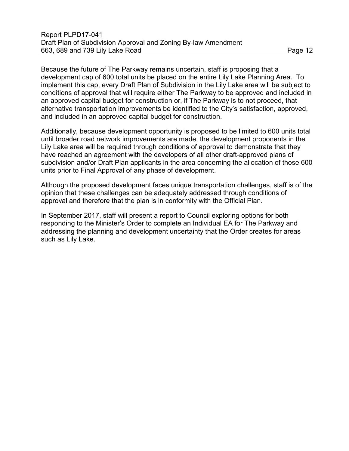Because the future of The Parkway remains uncertain, staff is proposing that a development cap of 600 total units be placed on the entire Lily Lake Planning Area. To implement this cap, every Draft Plan of Subdivision in the Lily Lake area will be subject to conditions of approval that will require either The Parkway to be approved and included in

an approved capital budget for construction or, if The Parkway is to not proceed, that alternative transportation improvements be identified to the City's satisfaction, approved, and included in an approved capital budget for construction.

Additionally, because development opportunity is proposed to be limited to 600 units total until broader road network improvements are made, the development proponents in the Lily Lake area will be required through conditions of approval to demonstrate that they have reached an agreement with the developers of all other draft-approved plans of subdivision and/or Draft Plan applicants in the area concerning the allocation of those 600 units prior to Final Approval of any phase of development.

Although the proposed development faces unique transportation challenges, staff is of the opinion that these challenges can be adequately addressed through conditions of approval and therefore that the plan is in conformity with the Official Plan.

In September 2017, staff will present a report to Council exploring options for both responding to the Minister's Order to complete an Individual EA for The Parkway and addressing the planning and development uncertainty that the Order creates for areas such as Lily Lake.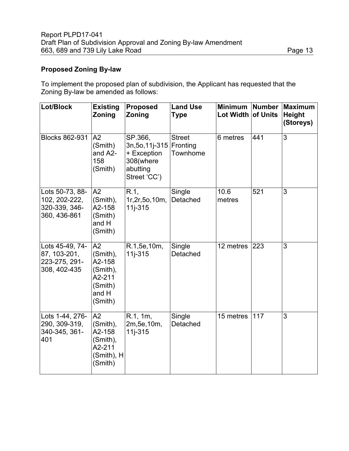#### **Proposed Zoning By-law**

To implement the proposed plan of subdivision, the Applicant has requested that the Zoning By-law be amended as follows:

| Lot/Block                                                         | <b>Existing</b><br>Zoning                                                     | Proposed<br>Zoning                                                                 | <b>Land Use</b><br><b>Type</b>        | <b>Minimum</b><br>Lot Width of Units | <b>Number</b> | <b>Maximum</b><br><b>Height</b><br>(Storeys) |
|-------------------------------------------------------------------|-------------------------------------------------------------------------------|------------------------------------------------------------------------------------|---------------------------------------|--------------------------------------|---------------|----------------------------------------------|
| <b>Blocks 862-931</b>                                             | A2<br>(Smith)<br>and A2-<br>158<br>(Smith)                                    | SP.366,<br>3n, 5o, 11j-315<br>+ Exception<br>308(where<br>abutting<br>Street 'CC') | <b>Street</b><br>Fronting<br>Townhome | 6 metres                             | 441           | $\overline{3}$                               |
| Lots 50-73, 88-<br>102, 202-222,<br>320-339, 346-<br>360, 436-861 | A2<br>(Smith),<br>A2-158<br>(Smith)<br>and H<br>(Smith)                       | R.1,<br>1r, 2r, 5o, 10m,<br>$11j - 315$                                            | Single<br>Detached                    | 10.6<br>metres                       | 521           | 3                                            |
| Lots 45-49, 74-<br>87, 103-201,<br>223-275, 291-<br>308, 402-435  | A2<br>(Smith),<br>A2-158<br>(Smith),<br>A2-211<br>(Smith)<br>and H<br>(Smith) | R.1,5e,10m,<br>$11i - 315$                                                         | Single<br>Detached                    | 12 metres                            | 223           | 3                                            |
| Lots 1-44, 276-<br>290, 309-319,<br>340-345, 361-<br>401          | A2<br>(Smith),<br>A2-158<br>(Smith),<br>A2-211<br>(Smith), H<br>(Smith)       | R.1, 1m,<br>2m, 5e, 10m,<br>$11j - 315$                                            | Single<br>Detached                    | 15 metres                            | 117           | $\overline{3}$                               |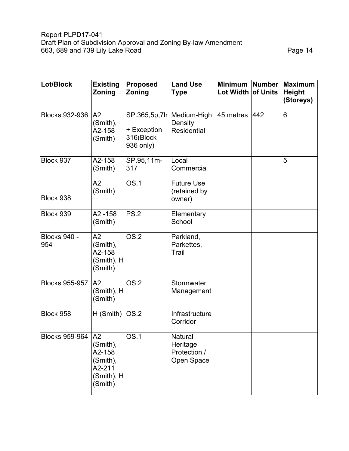| Lot/Block                  | <b>Existing</b><br>Zoning                                               | <b>Proposed</b><br>Zoning             | <b>Land Use</b><br><b>Type</b>                       | <b>Minimum</b><br>Lot Width of Units | Number | <b>Maximum</b><br><b>Height</b><br>(Storeys) |
|----------------------------|-------------------------------------------------------------------------|---------------------------------------|------------------------------------------------------|--------------------------------------|--------|----------------------------------------------|
| <b>Blocks 932-936</b>      | A2<br>(Smith),<br>A2-158<br>(Smith)                                     | + Exception<br>316(Block<br>936 only) | SP.365,5p,7h   Medium-High<br>Density<br>Residential | 45 metres                            | 442    | 6                                            |
| Block 937                  | A2-158<br>(Smith)                                                       | SP.95,11m-<br>317                     | Local<br>Commercial                                  |                                      |        | 5                                            |
| Block 938                  | A2<br>(Smith)                                                           | <b>OS.1</b>                           | <b>Future Use</b><br>(retained by<br>owner)          |                                      |        |                                              |
| Block 939                  | $A2 - 158$<br>(Smith)                                                   | <b>PS.2</b>                           | Elementary<br>School                                 |                                      |        |                                              |
| <b>Blocks 940 -</b><br>954 | A2<br>(Smith),<br>A2-158<br>(Smith), H<br>(Smith)                       | $\overline{OS.2}$                     | Parkland,<br>Parkettes,<br>Trail                     |                                      |        |                                              |
| <b>Blocks 955-957</b>      | A <sub>2</sub><br>$(Smith)$ , H<br>(Smith)                              | OS.2                                  | Stormwater<br>Management                             |                                      |        |                                              |
| Block 958                  | $H(Smith)$ OS.2                                                         |                                       | Infrastructure<br>Corridor                           |                                      |        |                                              |
| Blocks 959-964 A2          | $(Smith)$ ,<br>A2-158<br>(Smith),<br>A2-211<br>$(Smith)$ , H<br>(Smith) | $\overline{OS.1}$                     | Natural<br>Heritage<br>Protection /<br>Open Space    |                                      |        |                                              |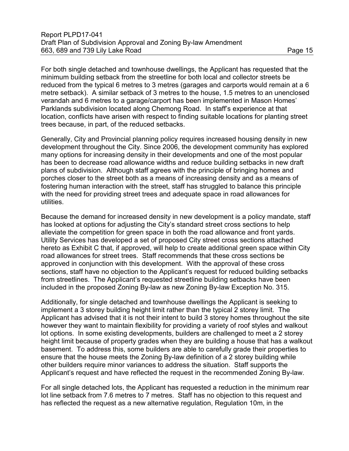For both single detached and townhouse dwellings, the Applicant has requested that the minimum building setback from the streetline for both local and collector streets be reduced from the typical 6 metres to 3 metres (garages and carports would remain at a 6 metre setback). A similar setback of 3 metres to the house, 1.5 metres to an unenclosed verandah and 6 metres to a garage/carport has been implemented in Mason Homes' Parklands subdivision located along Chemong Road. In staff's experience at that location, conflicts have arisen with respect to finding suitable locations for planting street trees because, in part, of the reduced setbacks.

Generally, City and Provincial planning policy requires increased housing density in new development throughout the City. Since 2006, the development community has explored many options for increasing density in their developments and one of the most popular has been to decrease road allowance widths and reduce building setbacks in new draft plans of subdivision. Although staff agrees with the principle of bringing homes and porches closer to the street both as a means of increasing density and as a means of fostering human interaction with the street, staff has struggled to balance this principle with the need for providing street trees and adequate space in road allowances for utilities.

Because the demand for increased density in new development is a policy mandate, staff has looked at options for adjusting the City's standard street cross sections to help alleviate the competition for green space in both the road allowance and front yards. Utility Services has developed a set of proposed City street cross sections attached hereto as Exhibit C that, if approved, will help to create additional green space within City road allowances for street trees. Staff recommends that these cross sections be approved in conjunction with this development. With the approval of these cross sections, staff have no objection to the Applicant's request for reduced building setbacks from streetlines. The Applicant's requested streetline building setbacks have been included in the proposed Zoning By-law as new Zoning By-law Exception No. 315.

Additionally, for single detached and townhouse dwellings the Applicant is seeking to implement a 3 storey building height limit rather than the typical 2 storey limit. The Applicant has advised that it is not their intent to build 3 storey homes throughout the site however they want to maintain flexibility for providing a variety of roof styles and walkout lot options. In some existing developments, builders are challenged to meet a 2 storey height limit because of property grades when they are building a house that has a walkout basement. To address this, some builders are able to carefully grade their properties to ensure that the house meets the Zoning By-law definition of a 2 storey building while other builders require minor variances to address the situation. Staff supports the Applicant's request and have reflected the request in the recommended Zoning By-law.

For all single detached lots, the Applicant has requested a reduction in the minimum rear lot line setback from 7.6 metres to 7 metres. Staff has no objection to this request and has reflected the request as a new alternative regulation, Regulation 10m, in the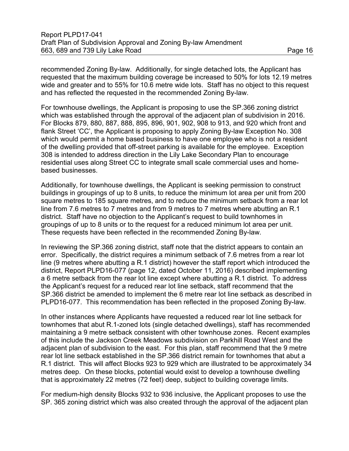recommended Zoning By-law. Additionally, for single detached lots, the Applicant has requested that the maximum building coverage be increased to 50% for lots 12.19 metres wide and greater and to 55% for 10.6 metre wide lots. Staff has no object to this request and has reflected the requested in the recommended Zoning By-law.

For townhouse dwellings, the Applicant is proposing to use the SP.366 zoning district which was established through the approval of the adjacent plan of subdivision in 2016. For Blocks 879, 880, 887, 888, 895, 896, 901, 902, 908 to 913, and 920 which front and flank Street 'CC', the Applicant is proposing to apply Zoning By-law Exception No. 308 which would permit a home based business to have one employee who is not a resident of the dwelling provided that off-street parking is available for the employee. Exception 308 is intended to address direction in the Lily Lake Secondary Plan to encourage residential uses along Street CC to integrate small scale commercial uses and homebased businesses.

Additionally, for townhouse dwellings, the Applicant is seeking permission to construct buildings in groupings of up to 8 units, to reduce the minimum lot area per unit from 200 square metres to 185 square metres, and to reduce the minimum setback from a rear lot line from 7.6 metres to 7 metres and from 9 metres to 7 metres where abutting an R.1 district. Staff have no objection to the Applicant's request to build townhomes in groupings of up to 8 units or to the request for a reduced minimum lot area per unit. These requests have been reflected in the recommended Zoning By-law.

In reviewing the SP.366 zoning district, staff note that the district appears to contain an error. Specifically, the district requires a minimum setback of 7.6 metres from a rear lot line (9 metres where abutting a R.1 district) however the staff report which introduced the district, Report PLPD16-077 (page 12, dated October 11, 2016) described implementing a 6 metre setback from the rear lot line except where abutting a R.1 district. To address the Applicant's request for a reduced rear lot line setback, staff recommend that the SP.366 district be amended to implement the 6 metre rear lot line setback as described in PLPD16-077. This recommendation has been reflected in the proposed Zoning By-law.

In other instances where Applicants have requested a reduced rear lot line setback for townhomes that abut R.1-zoned lots (single detached dwellings), staff has recommended maintaining a 9 metre setback consistent with other townhouse zones. Recent examples of this include the Jackson Creek Meadows subdivision on Parkhill Road West and the adjacent plan of subdivision to the east. For this plan, staff recommend that the 9 metre rear lot line setback established in the SP.366 district remain for townhomes that abut a R.1 district. This will affect Blocks 923 to 929 which are illustrated to be approximately 34 metres deep. On these blocks, potential would exist to develop a townhouse dwelling that is approximately 22 metres (72 feet) deep, subject to building coverage limits.

For medium-high density Blocks 932 to 936 inclusive, the Applicant proposes to use the SP. 365 zoning district which was also created through the approval of the adjacent plan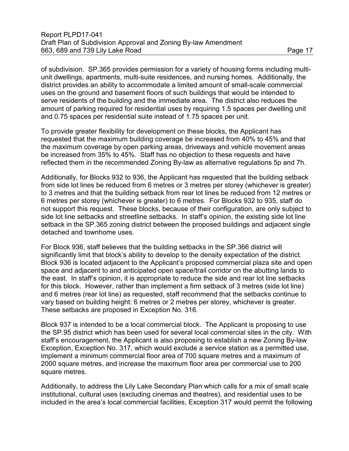of subdivision. SP.365 provides permission for a variety of housing forms including multiunit dwellings, apartments, multi-suite residences, and nursing homes. Additionally, the district provides an ability to accommodate a limited amount of small-scale commercial uses on the ground and basement floors of such buildings that would be intended to serve residents of the building and the immediate area. The district also reduces the amount of parking required for residential uses by requiring 1.5 spaces per dwelling unit and 0.75 spaces per residential suite instead of 1.75 spaces per unit.

To provide greater flexibility for development on these blocks, the Applicant has requested that the maximum building coverage be increased from 40% to 45% and that the maximum coverage by open parking areas, driveways and vehicle movement areas be increased from 35% to 45%. Staff has no objection to these requests and have reflected them in the recommended Zoning By-law as alternative regulations 5p and 7h.

Additionally, for Blocks 932 to 936, the Applicant has requested that the building setback from side lot lines be reduced from 6 metres or 3 metres per storey (whichever is greater) to 3 metres and that the building setback from rear lot lines be reduced from 12 metres or 6 metres per storey (whichever is greater) to 6 metres. For Blocks 932 to 935, staff do not support this request. These blocks, because of their configuration, are only subject to side lot line setbacks and streetline setbacks. In staff's opinion, the existing side lot line setback in the SP.365 zoning district between the proposed buildings and adjacent single detached and townhome uses.

For Block 936, staff believes that the building setbacks in the SP.366 district will significantly limit that block's ability to develop to the density expectation of the district. Block 936 is located adjacent to the Applicant's proposed commercial plaza site and open space and adjacent to and anticipated open space/trail corridor on the abutting lands to the east. In staff's opinion, it is appropriate to reduce the side and rear lot line setbacks for this block. However, rather than implement a firm setback of 3 metres (side lot line) and 6 metres (rear lot line) as requested, staff recommend that the setbacks continue to vary based on building height: 6 metres or 2 metres per storey, whichever is greater. These setbacks are proposed in Exception No. 316.

Block 937 is intended to be a local commercial block. The Applicant is proposing to use the SP.95 district which has been used for several local commercial sites in the city. With staff's encouragement, the Applicant is also proposing to establish a new Zoning By-law Exception, Exception No. 317, which would exclude a service station as a permitted use, implement a minimum commercial floor area of 700 square metres and a maximum of 2000 square metres, and increase the maximum floor area per commercial use to 200 square metres.

Additionally, to address the Lily Lake Secondary Plan which calls for a mix of small scale institutional, cultural uses (excluding cinemas and theatres), and residential uses to be included in the area's local commercial facilities, Exception 317 would permit the following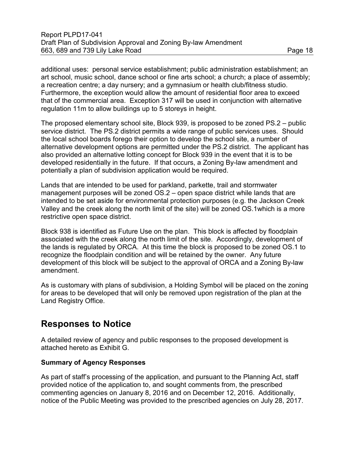additional uses: personal service establishment; public administration establishment; an art school, music school, dance school or fine arts school; a church; a place of assembly; a recreation centre; a day nursery; and a gymnasium or health club/fitness studio. Furthermore, the exception would allow the amount of residential floor area to exceed that of the commercial area. Exception 317 will be used in conjunction with alternative regulation 11m to allow buildings up to 5 storeys in height.

The proposed elementary school site, Block 939, is proposed to be zoned PS.2 – public service district. The PS.2 district permits a wide range of public services uses. Should the local school boards forego their option to develop the school site, a number of alternative development options are permitted under the PS.2 district. The applicant has also provided an alternative lotting concept for Block 939 in the event that it is to be developed residentially in the future. If that occurs, a Zoning By-law amendment and potentially a plan of subdivision application would be required.

Lands that are intended to be used for parkland, parkette, trail and stormwater management purposes will be zoned OS.2 – open space district while lands that are intended to be set aside for environmental protection purposes (e.g. the Jackson Creek Valley and the creek along the north limit of the site) will be zoned OS.1which is a more restrictive open space district.

Block 938 is identified as Future Use on the plan. This block is affected by floodplain associated with the creek along the north limit of the site. Accordingly, development of the lands is regulated by ORCA. At this time the block is proposed to be zoned OS.1 to recognize the floodplain condition and will be retained by the owner. Any future development of this block will be subject to the approval of ORCA and a Zoning By-law amendment.

As is customary with plans of subdivision, a Holding Symbol will be placed on the zoning for areas to be developed that will only be removed upon registration of the plan at the Land Registry Office.

## **Responses to Notice**

A detailed review of agency and public responses to the proposed development is attached hereto as Exhibit G.

#### **Summary of Agency Responses**

As part of staff's processing of the application, and pursuant to the Planning Act, staff provided notice of the application to, and sought comments from, the prescribed commenting agencies on January 8, 2016 and on December 12, 2016. Additionally, notice of the Public Meeting was provided to the prescribed agencies on July 28, 2017.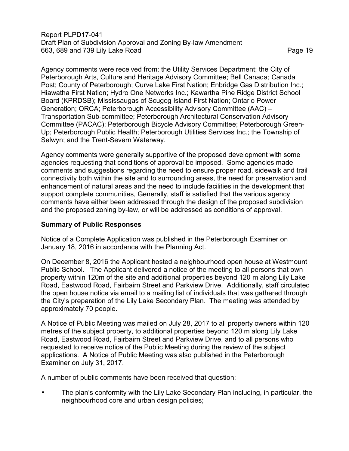Agency comments were received from: the Utility Services Department; the City of Peterborough Arts, Culture and Heritage Advisory Committee; Bell Canada; Canada Post; County of Peterborough; Curve Lake First Nation; Enbridge Gas Distribution Inc.; Hiawatha First Nation; Hydro One Networks Inc.; Kawartha Pine Ridge District School Board (KPRDSB); Mississaugas of Scugog Island First Nation; Ontario Power Generation; ORCA; Peterborough Accessibility Advisory Committee (AAC) – Transportation Sub-committee; Peterborough Architectural Conservation Advisory Committee (PACAC); Peterborough Bicycle Advisory Committee; Peterborough Green-Up; Peterborough Public Health; Peterborough Utilities Services Inc.; the Township of Selwyn; and the Trent-Severn Waterway.

Agency comments were generally supportive of the proposed development with some agencies requesting that conditions of approval be imposed. Some agencies made comments and suggestions regarding the need to ensure proper road, sidewalk and trail connectivity both within the site and to surrounding areas, the need for preservation and enhancement of natural areas and the need to include facilities in the development that support complete communities, Generally, staff is satisfied that the various agency comments have either been addressed through the design of the proposed subdivision and the proposed zoning by-law, or will be addressed as conditions of approval.

#### **Summary of Public Responses**

Notice of a Complete Application was published in the Peterborough Examiner on January 18, 2016 in accordance with the Planning Act.

On December 8, 2016 the Applicant hosted a neighbourhood open house at Westmount Public School. The Applicant delivered a notice of the meeting to all persons that own property within 120m of the site and additional properties beyond 120 m along Lily Lake Road, Eastwood Road, Fairbairn Street and Parkview Drive. Additionally, staff circulated the open house notice via email to a mailing list of individuals that was gathered through the City's preparation of the Lily Lake Secondary Plan. The meeting was attended by approximately 70 people.

A Notice of Public Meeting was mailed on July 28, 2017 to all property owners within 120 metres of the subject property, to additional properties beyond 120 m along Lily Lake Road, Eastwood Road, Fairbairn Street and Parkview Drive, and to all persons who requested to receive notice of the Public Meeting during the review of the subject applications. A Notice of Public Meeting was also published in the Peterborough Examiner on July 31, 2017.

A number of public comments have been received that question:

• The plan's conformity with the Lily Lake Secondary Plan including, in particular, the neighbourhood core and urban design policies;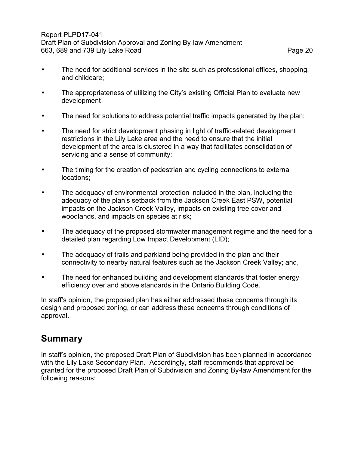- The need for additional services in the site such as professional offices, shopping, and childcare;
- The appropriateness of utilizing the City's existing Official Plan to evaluate new development
- The need for solutions to address potential traffic impacts generated by the plan;
- The need for strict development phasing in light of traffic-related development restrictions in the Lily Lake area and the need to ensure that the initial development of the area is clustered in a way that facilitates consolidation of servicing and a sense of community;
- The timing for the creation of pedestrian and cycling connections to external locations;
- The adequacy of environmental protection included in the plan, including the adequacy of the plan's setback from the Jackson Creek East PSW, potential impacts on the Jackson Creek Valley, impacts on existing tree cover and woodlands, and impacts on species at risk;
- The adequacy of the proposed stormwater management regime and the need for a detailed plan regarding Low Impact Development (LID);
- The adequacy of trails and parkland being provided in the plan and their connectivity to nearby natural features such as the Jackson Creek Valley; and,
- The need for enhanced building and development standards that foster energy efficiency over and above standards in the Ontario Building Code.

In staff's opinion, the proposed plan has either addressed these concerns through its design and proposed zoning, or can address these concerns through conditions of approval.

## **Summary**

In staff's opinion, the proposed Draft Plan of Subdivision has been planned in accordance with the Lily Lake Secondary Plan. Accordingly, staff recommends that approval be granted for the proposed Draft Plan of Subdivision and Zoning By-law Amendment for the following reasons: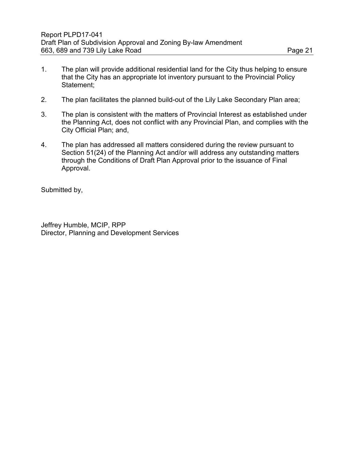- 1. The plan will provide additional residential land for the City thus helping to ensure that the City has an appropriate lot inventory pursuant to the Provincial Policy Statement;
- 2. The plan facilitates the planned build-out of the Lily Lake Secondary Plan area;
- 3. The plan is consistent with the matters of Provincial Interest as established under the Planning Act, does not conflict with any Provincial Plan, and complies with the City Official Plan; and,
- 4. The plan has addressed all matters considered during the review pursuant to Section 51(24) of the Planning Act and/or will address any outstanding matters through the Conditions of Draft Plan Approval prior to the issuance of Final Approval.

Submitted by,

Jeffrey Humble, MCIP, RPP Director, Planning and Development Services